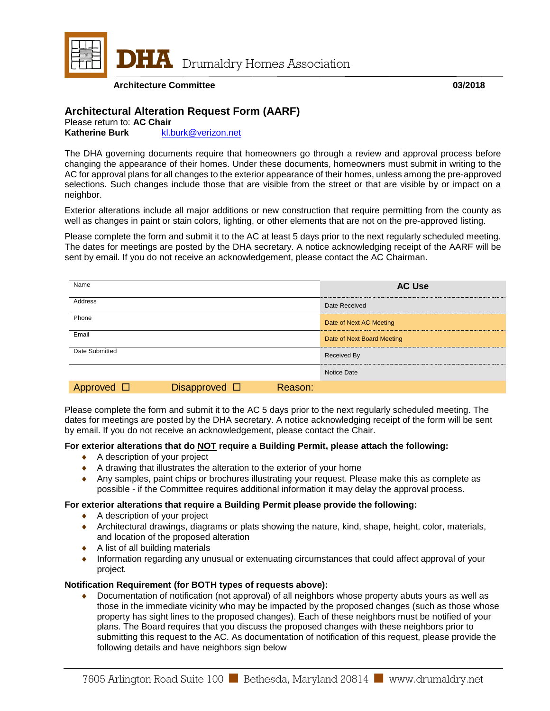

**DHIA** Drumaldry Homes Association

**Architecture Committee 03/2018**

# **Architectural Alteration Request Form (AARF)**

Please return to: **AC Chair**<br>**Katherine Burk** kl. **Katherine Burk** [kl.burk@verizon.net](mailto:kl.burk@verizon.net)

The DHA governing documents require that homeowners go through a review and approval process before changing the appearance of their homes. Under these documents, homeowners must submit in writing to the AC for approval plans for all changes to the exterior appearance of their homes, unless among the pre-approved selections. Such changes include those that are visible from the street or that are visible by or impact on a neighbor.

Exterior alterations include all major additions or new construction that require permitting from the county as well as changes in paint or stain colors, lighting, or other elements that are not on the pre-approved listing.

Please complete the form and submit it to the AC at least 5 days prior to the next regularly scheduled meeting. The dates for meetings are posted by the DHA secretary. A notice acknowledging receipt of the AARF will be sent by email. If you do not receive an acknowledgement, please contact the AC Chairman.

| Name           |                       |         | <b>AC Use</b>              |
|----------------|-----------------------|---------|----------------------------|
| Address        |                       |         | Date Received              |
| Phone          |                       |         | Date of Next AC Meeting    |
| Email          |                       |         | Date of Next Board Meeting |
| Date Submitted |                       |         | Received By                |
|                |                       |         | Notice Date                |
| Approved       | Disapproved $\square$ | Reason: |                            |

Please complete the form and submit it to the AC 5 days prior to the next regularly scheduled meeting. The dates for meetings are posted by the DHA secretary. A notice acknowledging receipt of the form will be sent by email. If you do not receive an acknowledgement, please contact the Chair.

### **For exterior alterations that do NOT require a Building Permit, please attach the following:**

- ♦ A description of your project
- ♦ A drawing that illustrates the alteration to the exterior of your home
- ♦ Any samples, paint chips or brochures illustrating your request. Please make this as complete as possible - if the Committee requires additional information it may delay the approval process.

### **For exterior alterations that require a Building Permit please provide the following:**

- ◆ A description of your project
- ♦ Architectural drawings, diagrams or plats showing the nature, kind, shape, height, color, materials, and location of the proposed alteration
- $\triangle$  A list of all building materials
- ♦ Information regarding any unusual or extenuating circumstances that could affect approval of your project*.*

## **Notification Requirement (for BOTH types of requests above):**

♦ Documentation of notification (not approval) of all neighbors whose property abuts yours as well as those in the immediate vicinity who may be impacted by the proposed changes (such as those whose property has sight lines to the proposed changes). Each of these neighbors must be notified of your plans. The Board requires that you discuss the proposed changes with these neighbors prior to submitting this request to the AC. As documentation of notification of this request, please provide the following details and have neighbors sign below